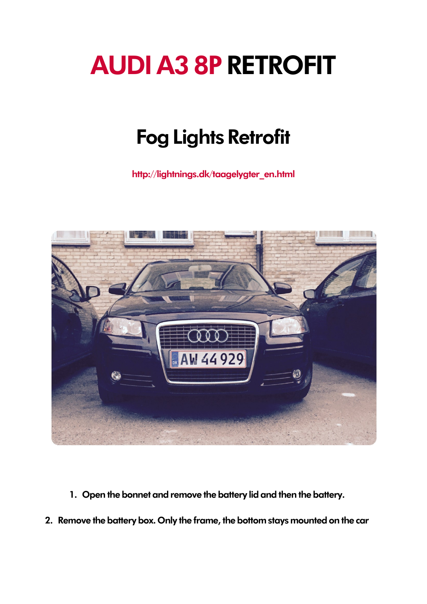## AUDI A3 8P RETROFIT

## Fog Lights Retrofit

[http://lightnings.dk/taagelygter\\_en.html](http://lightnings.dk/taagelygter_en.html)



- 1. Open the bonnet and remove the battery lid and then the battery.
- 2. Remove the battery box. Only the frame, the bottom stays mounted on the car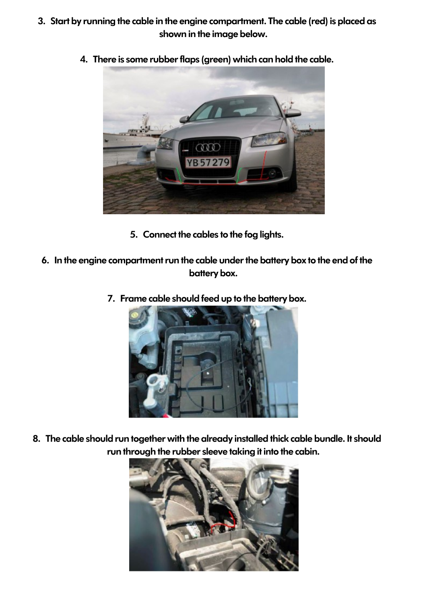3. Start by running the cable in the engine compartment. The cable (red) is placed as shown in the image below.



4. There is some rubber flaps (green) which can hold the cable.

- 5. Connect the cables to the fog lights.
- 6. In the engine compartment run the cable under the battery box to the end of the battery box.
	- 7. Frame cable should feed up to the battery box.



8. The cable should run together with the already installed thick cable bundle. It should run through the rubber sleeve taking it into the cabin.